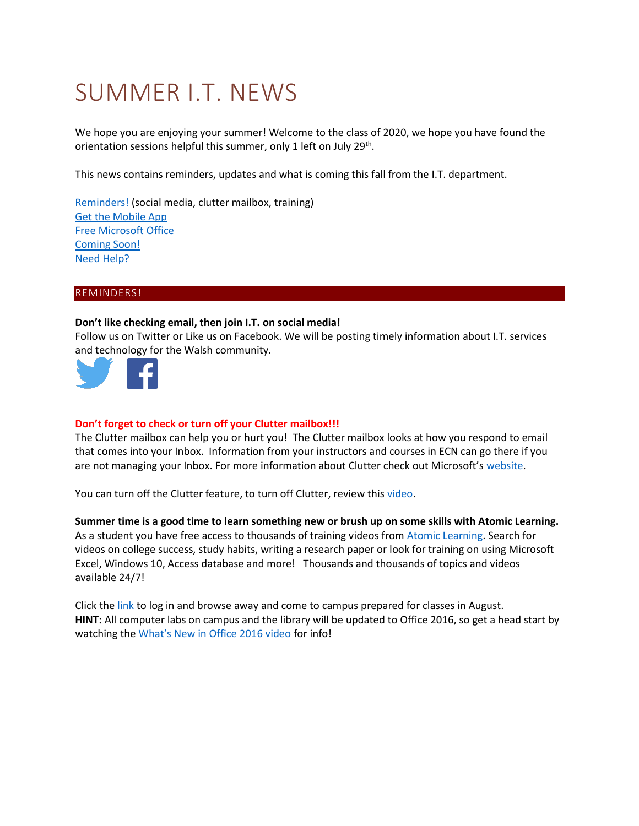# SUMMER I.T. NEWS

We hope you are enjoying your summer! Welcome to the class of 2020, we hope you have found the orientation sessions helpful this summer, only 1 left on July 29<sup>th</sup>.

This news contains reminders, updates and what is coming this fall from the I.T. department.

[Reminders!](#page-0-0) (social media, clutter mailbox, training) [Get the Mobile App](#page-1-0) [Free Microsoft Office](#page-1-1) [Coming Soon!](#page-2-0) [Need Help?](#page-2-1)

# <span id="page-0-0"></span>REMINDERS!

### **Don't like checking email, then join I.T. on social media!**

Follow us on Twitter or Like us on Facebook. We will be posting timely information about I.T. services and technology for the Walsh community.



# **Don't forget to check or turn off your Clutter mailbox!!!**

The Clutter mailbox can help you or hurt you! The Clutter mailbox looks at how you respond to email that comes into your Inbox. Information from your instructors and courses in ECN can go there if you are not managing your Inbox. For more information about Clutter check out Microsoft's [website.](https://support.office.com/en-us/article/Use-Clutter-to-sort-low-priority-messages-in-Outlook-7b50c5db-7704-4e55-8a1b-dfc7bf1eafa0?ui=en-US&rs=en-US&ad=US)

You can turn off the Clutter feature, to turn off Clutter, review this [video.](https://mix.office.com/watch/737kiemnz8l7)

**Summer time is a good time to learn something new or brush up on some skills with Atomic Learning.** As a student you have free access to thousands of training videos from [Atomic Learning.](https://secure2.atomiclearning.com/sso/cas/walsh) Search for videos on college success, study habits, writing a research paper or look for training on using Microsoft Excel, Windows 10, Access database and more! Thousands and thousands of topics and videos available 24/7!

Click th[e link](https://secure2.atomiclearning.com/sso/cas/walsh) to log in and browse away and come to campus prepared for classes in August. **HINT:** All computer labs on campus and the library will be updated to Office 2016, so get a head start by watching the [What's New in Office 2016 video](https://www.atomiclearning.com/highed/new-office-2016-bigger-brains-training) for info!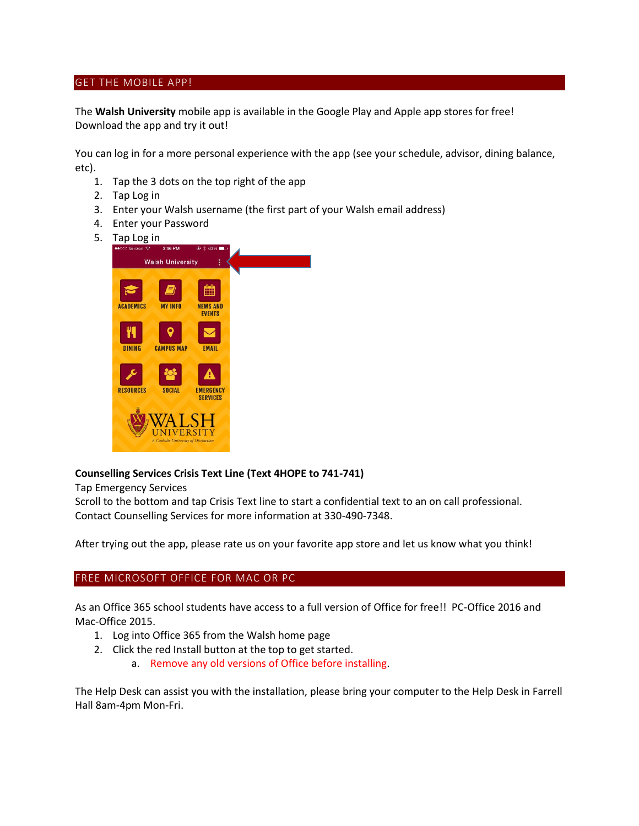# <span id="page-1-0"></span>GET THE MOBILE APP!

The **Walsh University** mobile app is available in the Google Play and Apple app stores for free! Download the app and try it out!

You can log in for a more personal experience with the app (see your schedule, advisor, dining balance, etc).

- 1. Tap the 3 dots on the top right of the app
- 2. Tap Log in
- 3. Enter your Walsh username (the first part of your Walsh email address)
- 4. Enter your Password
- 5. Tap Log in



### **Counselling Services Crisis Text Line (Text 4HOPE to 741-741)**

Tap Emergency Services

Scroll to the bottom and tap Crisis Text line to start a confidential text to an on call professional. Contact Counselling Services for more information at 330-490-7348.

After trying out the app, please rate us on your favorite app store and let us know what you think!

## <span id="page-1-1"></span>FREE MICROSOFT OFFICE FOR MAC OR PC

As an Office 365 school students have access to a full version of Office for free!! PC-Office 2016 and Mac-Office 2015.

- 1. Log into Office 365 from the Walsh home page
- 2. Click the red Install button at the top to get started.
	- a. Remove any old versions of Office before installing.

The Help Desk can assist you with the installation, please bring your computer to the Help Desk in Farrell Hall 8am-4pm Mon-Fri.